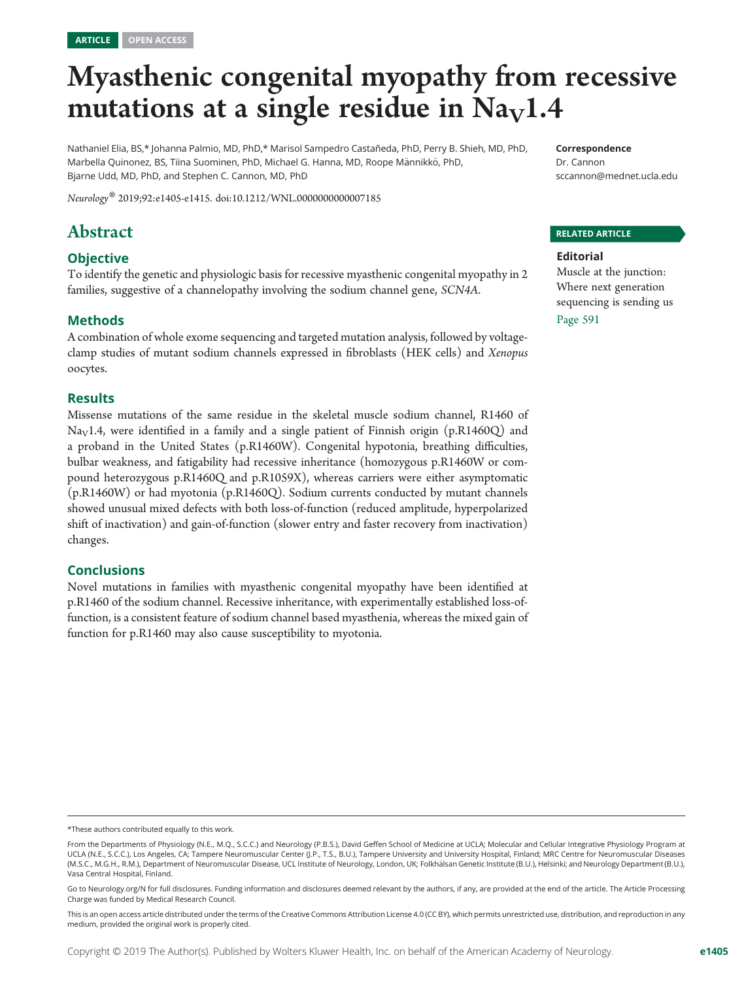# Myasthenic congenital myopathy from recessive mutations at a single residue in  $Na<sub>V</sub>1.4$

Nathaniel Elia, BS,\* Johanna Palmio, MD, PhD,\* Marisol Sampedro Castañeda, PhD, Perry B. Shieh, MD, PhD, Marbella Quinonez, BS, Tiina Suominen, PhD, Michael G. Hanna, MD, Roope Männikkö, PhD, Bjarne Udd, MD, PhD, and Stephen C. Cannon, MD, PhD

Neurology® 2019;92:e1405-e1415. doi[:10.1212/WNL.0000000000007185](http://dx.doi.org/10.1212/WNL.0000000000007185)

# Abstract

#### **Objective**

To identify the genetic and physiologic basis for recessive myasthenic congenital myopathy in 2 families, suggestive of a channelopathy involving the sodium channel gene, SCN4A.

#### Methods

A combination of whole exome sequencing and targeted mutation analysis, followed by voltageclamp studies of mutant sodium channels expressed in fibroblasts (HEK cells) and Xenopus oocytes.

#### Results

Missense mutations of the same residue in the skeletal muscle sodium channel, R1460 of Na<sub>V</sub>1.4, were identified in a family and a single patient of Finnish origin (p.R1460Q) and a proband in the United States (p.R1460W). Congenital hypotonia, breathing difficulties, bulbar weakness, and fatigability had recessive inheritance (homozygous p.R1460W or compound heterozygous p.R1460Q and p.R1059X), whereas carriers were either asymptomatic (p.R1460W) or had myotonia (p.R1460Q). Sodium currents conducted by mutant channels showed unusual mixed defects with both loss-of-function (reduced amplitude, hyperpolarized shift of inactivation) and gain-of-function (slower entry and faster recovery from inactivation) changes.

#### Conclusions

Novel mutations in families with myasthenic congenital myopathy have been identified at p.R1460 of the sodium channel. Recessive inheritance, with experimentally established loss-offunction, is a consistent feature of sodium channel based myasthenia, whereas the mixed gain of function for p.R1460 may also cause susceptibility to myotonia.

Correspondence

Dr. Cannon [sccannon@mednet.ucla.edu](mailto:sccannon@mednet.ucla.edu)

#### RELATED ARTICLE

#### Editorial

Muscle at the junction: Where next generation sequencing is sending us Page 591

<sup>\*</sup>These authors contributed equally to this work.

From the Departments of Physiology (N.E., M.Q., S.C.C.) and Neurology (P.B.S.), David Geffen School of Medicine at UCLA; Molecular and Cellular Integrative Physiology Program at UCLA (N.E., S.C.C.), Los Angeles, CA; Tampere Neuromuscular Center (J.P., T.S., B.U.), Tampere University and University Hospital, Finland; MRC Centre for Neuromuscular Diseases (M.S.C., M.G.H., R.M.), Department of Neuromuscular Disease, UCL Institute of Neurology, London, UK; Folkhälsan Genetic Institute (B.U.), Helsinki; and Neurology Department (B.U.), Vasa Central Hospital, Finland.

Go to [Neurology.org/N](http://n.neurology.org/lookup/doi/10.1212/WNL.0000000000007185) for full disclosures. Funding information and disclosures deemed relevant by the authors, if any, are provided at the end of the article. The Article Processing Charge was funded by Medical Research Council.

This is an open access article distributed under the terms of the [Creative Commons Attribution License 4.0 \(CC BY\),](http://creativecommons.org/licenses/by/4.0/) which permits unrestricted use, distribution, and reproduction in any medium, provided the original work is properly cited.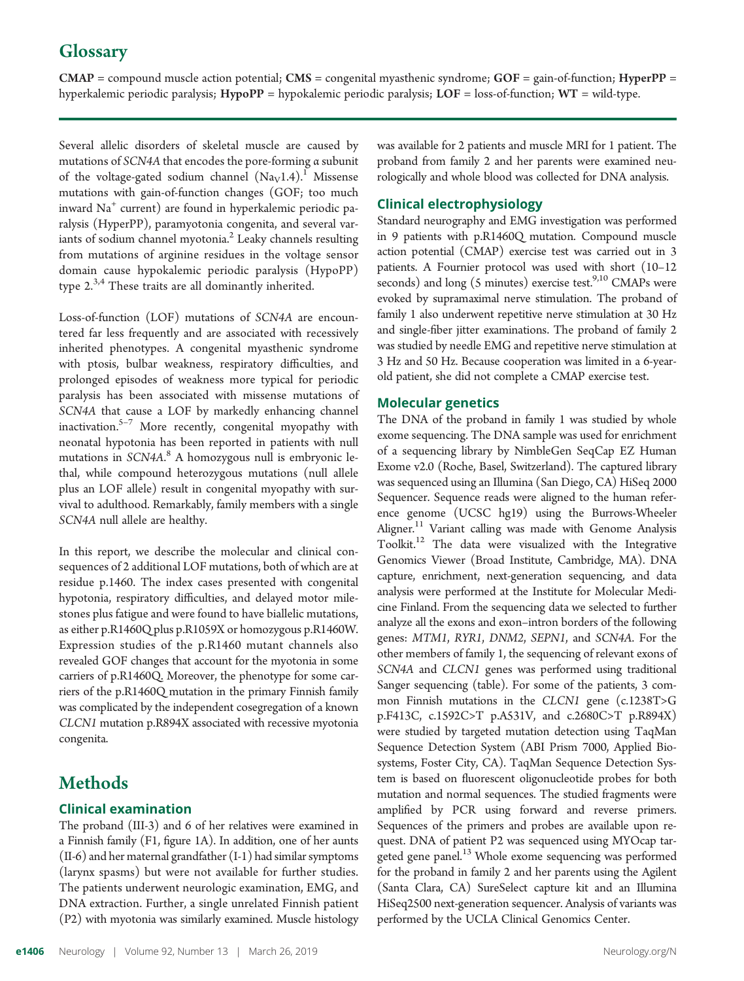# **Glossary**

 $CMAP =$  compound muscle action potential;  $CMS =$  congenital myasthenic syndrome;  $GOF =$  gain-of-function;  $HyperPP =$ hyperkalemic periodic paralysis; HypoPP = hypokalemic periodic paralysis; LOF = loss-of-function; WT = wild-type.

Several allelic disorders of skeletal muscle are caused by mutations of SCN4A that encodes the pore-forming α subunit of the voltage-gated sodium channel  $(Na_V1.4)$ .<sup>1</sup> Missense mutations with gain-of-function changes (GOF; too much inward Na<sup>+</sup> current) are found in hyperkalemic periodic paralysis (HyperPP), paramyotonia congenita, and several variants of sodium channel myotonia. $^{2}$  Leaky channels resulting from mutations of arginine residues in the voltage sensor domain cause hypokalemic periodic paralysis (HypoPP) type  $2^{3,4}$  These traits are all dominantly inherited.

Loss-of-function (LOF) mutations of SCN4A are encountered far less frequently and are associated with recessively inherited phenotypes. A congenital myasthenic syndrome with ptosis, bulbar weakness, respiratory difficulties, and prolonged episodes of weakness more typical for periodic paralysis has been associated with missense mutations of SCN4A that cause a LOF by markedly enhancing channel inactivation.5–<sup>7</sup> More recently, congenital myopathy with neonatal hypotonia has been reported in patients with null mutations in SCN4A.<sup>8</sup> A homozygous null is embryonic lethal, while compound heterozygous mutations (null allele plus an LOF allele) result in congenital myopathy with survival to adulthood. Remarkably, family members with a single SCN4A null allele are healthy.

In this report, we describe the molecular and clinical consequences of 2 additional LOF mutations, both of which are at residue p.1460. The index cases presented with congenital hypotonia, respiratory difficulties, and delayed motor milestones plus fatigue and were found to have biallelic mutations, as either p.R1460Q plus p.R1059X or homozygous p.R1460W. Expression studies of the p.R1460 mutant channels also revealed GOF changes that account for the myotonia in some carriers of p.R1460Q. Moreover, the phenotype for some carriers of the p.R1460Q mutation in the primary Finnish family was complicated by the independent cosegregation of a known CLCN1 mutation p.R894X associated with recessive myotonia congenita.

## **Methods**

#### Clinical examination

The proband (III-3) and 6 of her relatives were examined in a Finnish family (F1, figure 1A). In addition, one of her aunts (II-6) and her maternal grandfather (I-1) had similar symptoms (larynx spasms) but were not available for further studies. The patients underwent neurologic examination, EMG, and DNA extraction. Further, a single unrelated Finnish patient (P2) with myotonia was similarly examined. Muscle histology

was available for 2 patients and muscle MRI for 1 patient. The proband from family 2 and her parents were examined neurologically and whole blood was collected for DNA analysis.

#### Clinical electrophysiology

Standard neurography and EMG investigation was performed in 9 patients with p.R1460Q mutation. Compound muscle action potential (CMAP) exercise test was carried out in 3 patients. A Fournier protocol was used with short (10–12 seconds) and long (5 minutes) exercise test.<sup>9,10</sup> CMAPs were evoked by supramaximal nerve stimulation. The proband of family 1 also underwent repetitive nerve stimulation at 30 Hz and single-fiber jitter examinations. The proband of family 2 was studied by needle EMG and repetitive nerve stimulation at 3 Hz and 50 Hz. Because cooperation was limited in a 6-yearold patient, she did not complete a CMAP exercise test.

#### Molecular genetics

The DNA of the proband in family 1 was studied by whole exome sequencing. The DNA sample was used for enrichment of a sequencing library by NimbleGen SeqCap EZ Human Exome v2.0 (Roche, Basel, Switzerland). The captured library was sequenced using an Illumina (San Diego, CA) HiSeq 2000 Sequencer. Sequence reads were aligned to the human reference genome (UCSC hg19) using the Burrows-Wheeler Aligner.<sup>11</sup> Variant calling was made with Genome Analysis Toolkit.12 The data were visualized with the Integrative Genomics Viewer (Broad Institute, Cambridge, MA). DNA capture, enrichment, next-generation sequencing, and data analysis were performed at the Institute for Molecular Medicine Finland. From the sequencing data we selected to further analyze all the exons and exon–intron borders of the following genes: MTM1, RYR1, DNM2, SEPN1, and SCN4A. For the other members of family 1, the sequencing of relevant exons of SCN4A and CLCN1 genes was performed using traditional Sanger sequencing (table). For some of the patients, 3 common Finnish mutations in the CLCN1 gene (c.1238T>G p.F413C, c.1592C>T p.A531V, and c.2680C>T p.R894X) were studied by targeted mutation detection using TaqMan Sequence Detection System (ABI Prism 7000, Applied Biosystems, Foster City, CA). TaqMan Sequence Detection System is based on fluorescent oligonucleotide probes for both mutation and normal sequences. The studied fragments were amplified by PCR using forward and reverse primers. Sequences of the primers and probes are available upon request. DNA of patient P2 was sequenced using MYOcap targeted gene panel.<sup>13</sup> Whole exome sequencing was performed for the proband in family 2 and her parents using the Agilent (Santa Clara, CA) SureSelect capture kit and an Illumina HiSeq2500 next-generation sequencer. Analysis of variants was performed by the UCLA Clinical Genomics Center.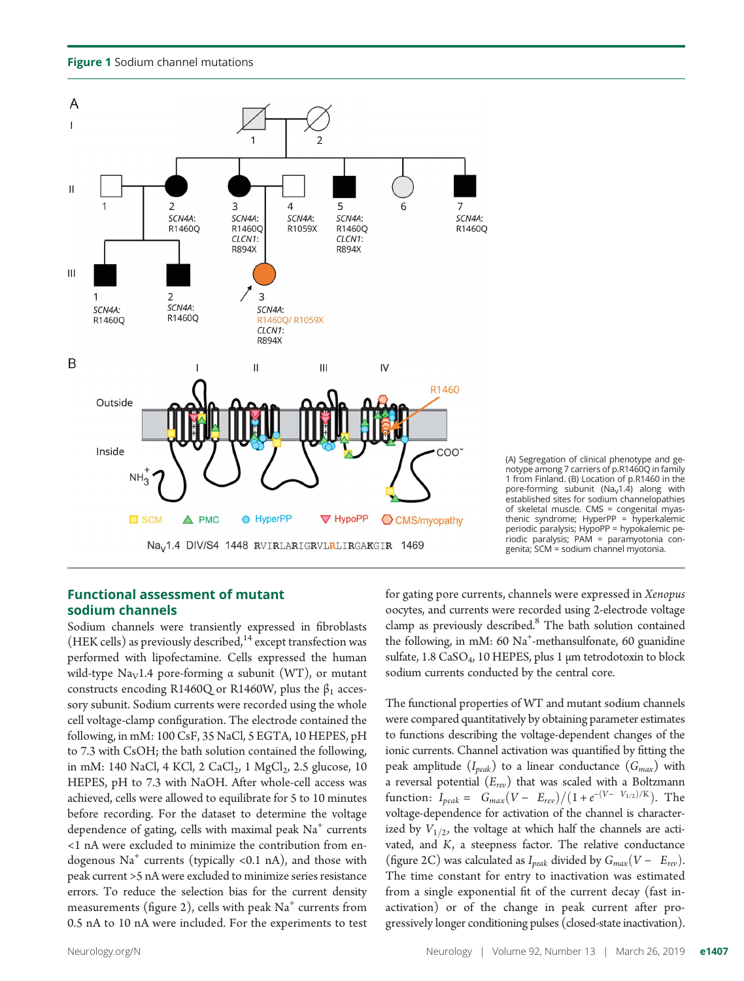Figure 1 Sodium channel mutations



(A) Segregation of clinical phenotype and genotype among 7 carriers of p.R1460Q in family 1 from Finland. (B) Location of p.R1460 in the pore-forming subunit (Na<sub>v</sub>1.4) along with established sites for sodium channelopathies of skeletal muscle. CMS = congenital myasthenic syndrome; HyperPP = hyperkalemic periodic paralysis; HypoPP = hypokalemic periodic paralysis; PAM = paramyotonia congenita; SCM = sodium channel myotonia.

#### Functional assessment of mutant sodium channels

Sodium channels were transiently expressed in fibroblasts (HEK cells) as previously described,  $14$  except transfection was performed with lipofectamine. Cells expressed the human wild-type Na<sub>V</sub>1.4 pore-forming  $\alpha$  subunit (WT), or mutant constructs encoding R1460Q or R1460W, plus the  $\beta_1$  accessory subunit. Sodium currents were recorded using the whole cell voltage-clamp configuration. The electrode contained the following, in mM: 100 CsF, 35 NaCl, 5 EGTA, 10 HEPES, pH to 7.3 with CsOH; the bath solution contained the following, in mM: 140 NaCl, 4 KCl, 2 CaCl<sub>2</sub>, 1 MgCl<sub>2</sub>, 2.5 glucose, 10 HEPES, pH to 7.3 with NaOH. After whole-cell access was achieved, cells were allowed to equilibrate for 5 to 10 minutes before recording. For the dataset to determine the voltage dependence of gating, cells with maximal peak  $Na<sup>+</sup>$  currents <1 nA were excluded to minimize the contribution from endogenous  $\text{Na}^+$  currents (typically <0.1 nA), and those with peak current >5 nA were excluded to minimize series resistance errors. To reduce the selection bias for the current density measurements (figure 2), cells with peak  $Na<sup>+</sup>$  currents from 0.5 nA to 10 nA were included. For the experiments to test for gating pore currents, channels were expressed in Xenopus oocytes, and currents were recorded using 2-electrode voltage clamp as previously described.<sup>8</sup> The bath solution contained the following, in mM: 60 Na<sup>+</sup>-methansulfonate, 60 guanidine sulfate,  $1.8 \text{ CaSO}_4$ ,  $10 \text{ HEPES}$ , plus 1 µm tetrodotoxin to block sodium currents conducted by the central core.

The functional properties of WT and mutant sodium channels were compared quantitatively by obtaining parameter estimates to functions describing the voltage-dependent changes of the ionic currents. Channel activation was quantified by fitting the peak amplitude  $(I_{peak})$  to a linear conductance  $(G_{max})$  with a reversal potential  $(E_{rev})$  that was scaled with a Boltzmann function:  $I_{peak} = G_{max}(V - E_{rev})/(1 + e^{-(V - V_{1/2})/K})$ . The voltage-dependence for activation of the channel is characterized by  $V_{1/2}$ , the voltage at which half the channels are activated, and K, a steepness factor. The relative conductance (figure 2C) was calculated as  $I_{peak}$  divided by  $G_{max}(V - E_{rev})$ . The time constant for entry to inactivation was estimated from a single exponential fit of the current decay (fast inactivation) or of the change in peak current after progressively longer conditioning pulses (closed-state inactivation).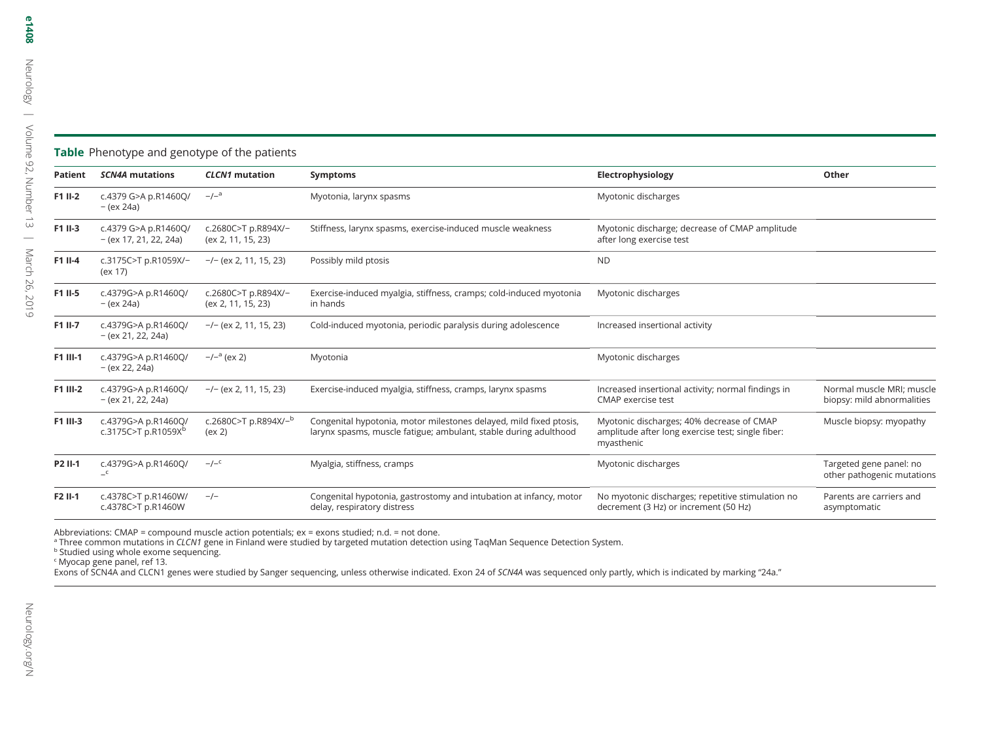|  | Table Phenotype and genotype of the patients |  |
|--|----------------------------------------------|--|
|--|----------------------------------------------|--|

| Patient  | <b>SCN4A mutations</b>                                 | <b>CLCN1</b> mutation                      | <b>Symptoms</b>                                                                                                                        | Electrophysiology                                                                                                                       | Other                                                   |
|----------|--------------------------------------------------------|--------------------------------------------|----------------------------------------------------------------------------------------------------------------------------------------|-----------------------------------------------------------------------------------------------------------------------------------------|---------------------------------------------------------|
| F1 II-2  | c.4379 G>A p.R1460Q/<br>– (ex 24a)                     | $-/-^a$                                    | Myotonia, larynx spasms                                                                                                                | Myotonic discharges                                                                                                                     |                                                         |
| F1 II-3  | c.4379 G>A p.R1460Q/<br>$-(ex 17, 21, 22, 24a)$        | c.2680C>T p.R894X/-<br>(ex 2, 11, 15, 23)  | Stiffness, larynx spasms, exercise-induced muscle weakness                                                                             | Myotonic discharge; decrease of CMAP amplitude<br>after long exercise test                                                              |                                                         |
| F1 II-4  | c.3175C>T p.R1059X/-<br>(ex 17)                        | $-/-$ (ex 2, 11, 15, 23)                   | Possibly mild ptosis                                                                                                                   | <b>ND</b>                                                                                                                               |                                                         |
| F1 II-5  | c.4379G>A p.R1460Q/<br>– (ex 24a)                      | c.2680C>T p.R894X/-<br>(ex 2, 11, 15, 23)  | Exercise-induced myalgia, stiffness, cramps; cold-induced myotonia<br>in hands                                                         | Myotonic discharges                                                                                                                     |                                                         |
| F1 II-7  | c.4379G>A p.R1460Q/<br>$-(ex 21, 22, 24a)$             | $-/-$ (ex 2, 11, 15, 23)                   | Cold-induced myotonia, periodic paralysis during adolescence                                                                           | Increased insertional activity                                                                                                          |                                                         |
| F1 III-1 | c.4379G>A p.R1460Q/<br>$-(ex 22, 24a)$                 | $-/-^a$ (ex 2)                             | Myotonia                                                                                                                               | Myotonic discharges                                                                                                                     |                                                         |
| F1 III-2 | c.4379G>A p.R1460Q/<br>$-(ex 21, 22, 24a)$             | $-/-$ (ex 2, 11, 15, 23)                   | Exercise-induced myalgia, stiffness, cramps, larynx spasms                                                                             | Increased insertional activity; normal findings in<br><b>CMAP</b> exercise test                                                         | Normal muscle MRI; muscle<br>biopsy: mild abnormalities |
| F1 III-3 | c.4379G>A p.R1460Q/<br>c.3175C>T p.R1059X <sup>b</sup> | c.2680C>T p.R894X/ <sup>-b</sup><br>(ex 2) | Congenital hypotonia, motor milestones delayed, mild fixed ptosis,<br>larynx spasms, muscle fatigue; ambulant, stable during adulthood | Myotonic discharges; 40% decrease of CMAP<br>Muscle biopsy: myopathy<br>amplitude after long exercise test; single fiber:<br>myasthenic |                                                         |
| P2 II-1  | c.4379G>A p.R1460Q/<br>$\mathsf{-}^{\mathsf{c}}$       | $-/-^c$                                    | Myalgia, stiffness, cramps                                                                                                             | Myotonic discharges                                                                                                                     | Targeted gene panel: no<br>other pathogenic mutations   |
| F2 II-1  | c.4378C>T p.R1460W/<br>c.4378C>T p.R1460W              | $-/-$                                      | Congenital hypotonia, gastrostomy and intubation at infancy, motor<br>delay, respiratory distress                                      | No myotonic discharges; repetitive stimulation no<br>decrement (3 Hz) or increment (50 Hz)                                              | Parents are carriers and<br>asymptomatic                |

Abbreviations: CMAP <sup>=</sup> compound muscle action potentials; ex <sup>=</sup> exons studied; n.d. <sup>=</sup> not done.

<sup>a</sup> Three common mutations in CLCN1 gene in Finland were studied by targeted mutation detection using TaqMan Sequence Detection System.<br><sup>b</sup> Studied using whole exome sequencing.

c Myocap gene panel, ref 13.

Exons of SCN4A and CLCN1 genes were studied by Sanger sequencing, unless otherwise indicated. Exon 24 of SCN4A was sequenced only partly, which is indicated by marking "24a."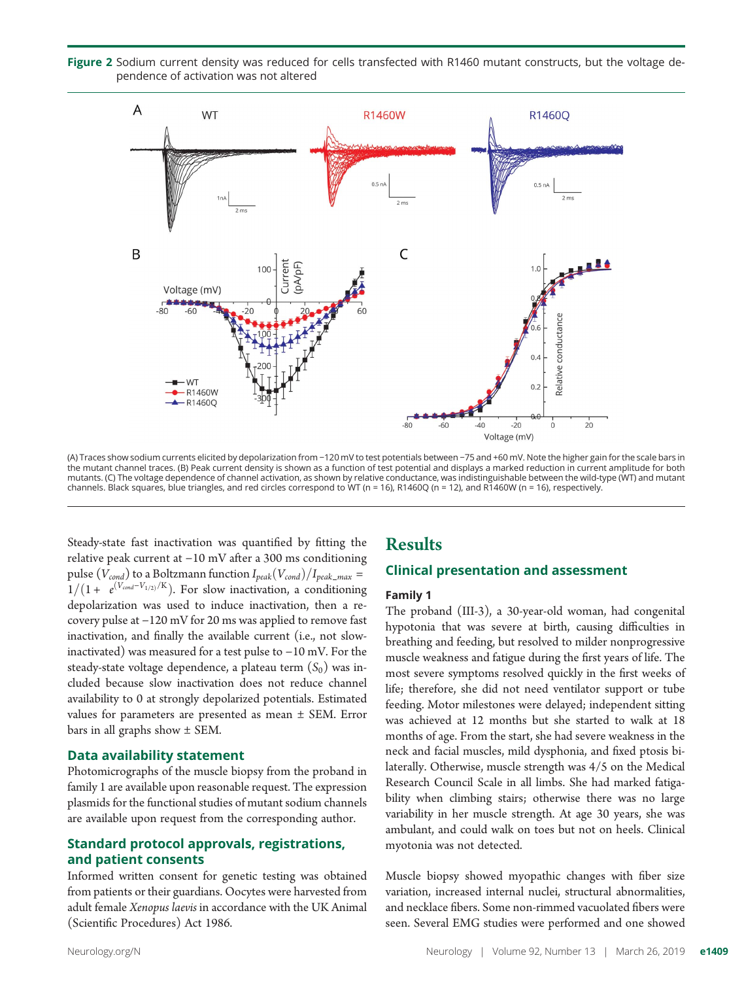Figure 2 Sodium current density was reduced for cells transfected with R1460 mutant constructs, but the voltage dependence of activation was not altered



(A) Traces show sodium currents elicited by depolarization from −120 mV to test potentials between −75 and +60 mV. Note the higher gain for the scale bars in the mutant channel traces. (B) Peak current density is shown as a function of test potential and displays a marked reduction in current amplitude for both mutants. (C) The voltage dependence of channel activation, as shown by relative conductance, was indistinguishable between the wild-type (WT) and mutant channels. Black squares, blue triangles, and red circles correspond to WT (n = 16), R1460Q (n = 12), and R1460W (n = 16), respectively.

Steady-state fast inactivation was quantified by fitting the relative peak current at −10 mV after a 300 ms conditioning pulse ( $V_{cond}$ ) to a Boltzmann function  $I_{peak}(V_{cond})/I_{peak\_max} =$  $1/(1 + e^{(V_{cond}-V_{1/2})/K})$ . For slow inactivation, a conditioning depolarization was used to induce inactivation, then a recovery pulse at −120 mV for 20 ms was applied to remove fast inactivation, and finally the available current (i.e., not slowinactivated) was measured for a test pulse to −10 mV. For the steady-state voltage dependence, a plateau term  $(S_0)$  was included because slow inactivation does not reduce channel availability to 0 at strongly depolarized potentials. Estimated values for parameters are presented as mean ± SEM. Error bars in all graphs show ± SEM.

#### Data availability statement

Photomicrographs of the muscle biopsy from the proband in family 1 are available upon reasonable request. The expression plasmids for the functional studies of mutant sodium channels are available upon request from the corresponding author.

#### Standard protocol approvals, registrations, and patient consents

Informed written consent for genetic testing was obtained from patients or their guardians. Oocytes were harvested from adult female Xenopus laevis in accordance with the UK Animal (Scientific Procedures) Act 1986.

#### **Results**

#### Clinical presentation and assessment

#### Family 1

The proband (III-3), a 30-year-old woman, had congenital hypotonia that was severe at birth, causing difficulties in breathing and feeding, but resolved to milder nonprogressive muscle weakness and fatigue during the first years of life. The most severe symptoms resolved quickly in the first weeks of life; therefore, she did not need ventilator support or tube feeding. Motor milestones were delayed; independent sitting was achieved at 12 months but she started to walk at 18 months of age. From the start, she had severe weakness in the neck and facial muscles, mild dysphonia, and fixed ptosis bilaterally. Otherwise, muscle strength was 4/5 on the Medical Research Council Scale in all limbs. She had marked fatigability when climbing stairs; otherwise there was no large variability in her muscle strength. At age 30 years, she was ambulant, and could walk on toes but not on heels. Clinical myotonia was not detected.

Muscle biopsy showed myopathic changes with fiber size variation, increased internal nuclei, structural abnormalities, and necklace fibers. Some non-rimmed vacuolated fibers were seen. Several EMG studies were performed and one showed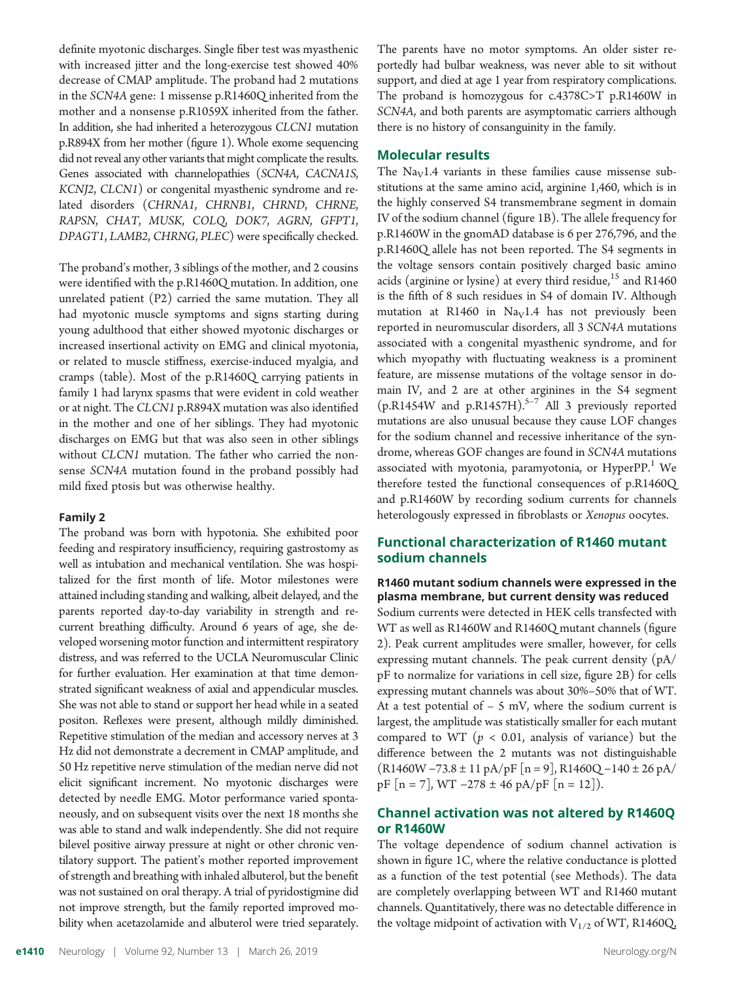definite myotonic discharges. Single fiber test was myasthenic with increased jitter and the long-exercise test showed 40% decrease of CMAP amplitude. The proband had 2 mutations in the SCN4A gene: 1 missense p.R1460Q inherited from the mother and a nonsense p.R1059X inherited from the father. In addition, she had inherited a heterozygous CLCN1 mutation p.R894X from her mother (figure 1). Whole exome sequencing did not reveal any other variants that might complicate the results. Genes associated with channelopathies (SCN4A, CACNA1S, KCNJ2, CLCN1) or congenital myasthenic syndrome and related disorders (CHRNA1, CHRNB1, CHRND, CHRNE, RAPSN, CHAT, MUSK, COLQ, DOK7, AGRN, GFPT1, DPAGT1, LAMB2, CHRNG, PLEC) were specifically checked.

The proband's mother, 3 siblings of the mother, and 2 cousins were identified with the p.R1460Q mutation. In addition, one unrelated patient (P2) carried the same mutation. They all had myotonic muscle symptoms and signs starting during young adulthood that either showed myotonic discharges or increased insertional activity on EMG and clinical myotonia, or related to muscle stiffness, exercise-induced myalgia, and cramps (table). Most of the p.R1460Q carrying patients in family 1 had larynx spasms that were evident in cold weather or at night. The CLCN1 p.R894X mutation was also identified in the mother and one of her siblings. They had myotonic discharges on EMG but that was also seen in other siblings without CLCN1 mutation. The father who carried the nonsense SCN4A mutation found in the proband possibly had mild fixed ptosis but was otherwise healthy.

#### Family 2

The proband was born with hypotonia. She exhibited poor feeding and respiratory insufficiency, requiring gastrostomy as well as intubation and mechanical ventilation. She was hospitalized for the first month of life. Motor milestones were attained including standing and walking, albeit delayed, and the parents reported day-to-day variability in strength and recurrent breathing difficulty. Around 6 years of age, she developed worsening motor function and intermittent respiratory distress, and was referred to the UCLA Neuromuscular Clinic for further evaluation. Her examination at that time demonstrated significant weakness of axial and appendicular muscles. She was not able to stand or support her head while in a seated positon. Reflexes were present, although mildly diminished. Repetitive stimulation of the median and accessory nerves at 3 Hz did not demonstrate a decrement in CMAP amplitude, and 50 Hz repetitive nerve stimulation of the median nerve did not elicit significant increment. No myotonic discharges were detected by needle EMG. Motor performance varied spontaneously, and on subsequent visits over the next 18 months she was able to stand and walk independently. She did not require bilevel positive airway pressure at night or other chronic ventilatory support. The patient's mother reported improvement of strength and breathing with inhaled albuterol, but the benefit was not sustained on oral therapy. A trial of pyridostigmine did not improve strength, but the family reported improved mobility when acetazolamide and albuterol were tried separately.

The parents have no motor symptoms. An older sister reportedly had bulbar weakness, was never able to sit without support, and died at age 1 year from respiratory complications. The proband is homozygous for c.4378C>T p.R1460W in SCN4A, and both parents are asymptomatic carriers although there is no history of consanguinity in the family.

#### Molecular results

The  $\text{Na}_{\text{V}}1.4$  variants in these families cause missense substitutions at the same amino acid, arginine 1,460, which is in the highly conserved S4 transmembrane segment in domain IV of the sodium channel (figure 1B). The allele frequency for p.R1460W in the gnomAD database is 6 per 276,796, and the p.R1460Q allele has not been reported. The S4 segments in the voltage sensors contain positively charged basic amino acids (arginine or lysine) at every third residue,<sup>15</sup> and R1460 is the fifth of 8 such residues in S4 of domain IV. Although mutation at R1460 in  $Na<sub>V</sub>1.4$  has not previously been reported in neuromuscular disorders, all 3 SCN4A mutations associated with a congenital myasthenic syndrome, and for which myopathy with fluctuating weakness is a prominent feature, are missense mutations of the voltage sensor in domain IV, and 2 are at other arginines in the S4 segment (p.R1454W and p.R1457H). $5-7$  All 3 previously reported mutations are also unusual because they cause LOF changes for the sodium channel and recessive inheritance of the syndrome, whereas GOF changes are found in SCN4A mutations associated with myotonia, paramyotonia, or HyperPP.<sup>1</sup> We therefore tested the functional consequences of p.R1460Q and p.R1460W by recording sodium currents for channels heterologously expressed in fibroblasts or Xenopus oocytes.

#### Functional characterization of R1460 mutant sodium channels

#### R1460 mutant sodium channels were expressed in the plasma membrane, but current density was reduced

Sodium currents were detected in HEK cells transfected with WT as well as R1460W and R1460Q mutant channels (figure 2). Peak current amplitudes were smaller, however, for cells expressing mutant channels. The peak current density (pA/ pF to normalize for variations in cell size, figure 2B) for cells expressing mutant channels was about 30%–50% that of WT. At a test potential of  $-5$  mV, where the sodium current is largest, the amplitude was statistically smaller for each mutant compared to WT ( $p < 0.01$ , analysis of variance) but the difference between the 2 mutants was not distinguishable (R1460W −73.8 ± 11 pA/pF [n = 9], R1460Q −140 ± 26 pA/ pF [n = 7], WT −278 ± 46 pA/pF [n = 12]).

#### Channel activation was not altered by R1460Q or R1460W

The voltage dependence of sodium channel activation is shown in figure 1C, where the relative conductance is plotted as a function of the test potential (see Methods). The data are completely overlapping between WT and R1460 mutant channels. Quantitatively, there was no detectable difference in the voltage midpoint of activation with  $V_{1/2}$  of WT, R1460Q,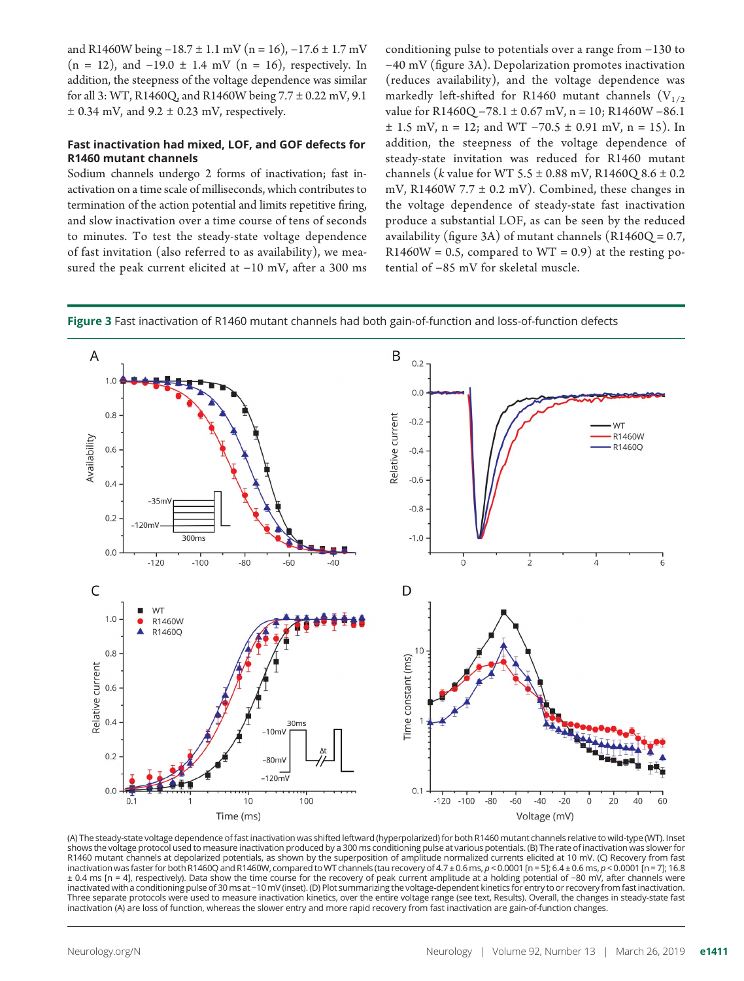and R1460W being  $-18.7 \pm 1.1$  mV (n = 16),  $-17.6 \pm 1.7$  mV  $(n = 12)$ , and  $-19.0 \pm 1.4$  mV  $(n = 16)$ , respectively. In addition, the steepness of the voltage dependence was similar for all 3: WT, R1460Q, and R1460W being 7.7 ± 0.22 mV, 9.1  $\pm$  0.34 mV, and 9.2  $\pm$  0.23 mV, respectively.

#### Fast inactivation had mixed, LOF, and GOF defects for R1460 mutant channels

Sodium channels undergo 2 forms of inactivation; fast inactivation on a time scale of milliseconds, which contributes to termination of the action potential and limits repetitive firing, and slow inactivation over a time course of tens of seconds to minutes. To test the steady-state voltage dependence of fast invitation (also referred to as availability), we measured the peak current elicited at −10 mV, after a 300 ms conditioning pulse to potentials over a range from −130 to −40 mV (figure 3A). Depolarization promotes inactivation (reduces availability), and the voltage dependence was markedly left-shifted for R1460 mutant channels  $(V_{1/2})$ value for R1460Q −78.1 ± 0.67 mV, n = 10; R1460W −86.1  $\pm$  1.5 mV, n = 12; and WT -70.5  $\pm$  0.91 mV, n = 15). In addition, the steepness of the voltage dependence of steady-state invitation was reduced for R1460 mutant channels (*k* value for WT  $5.5 \pm 0.88$  mV, R1460Q  $8.6 \pm 0.2$ mV, R1460W 7.7  $\pm$  0.2 mV). Combined, these changes in the voltage dependence of steady-state fast inactivation produce a substantial LOF, as can be seen by the reduced availability (figure 3A) of mutant channels  $(R1460Q = 0.7,$  $R1460W = 0.5$ , compared to  $WT = 0.9$ ) at the resting potential of −85 mV for skeletal muscle.





(A) The steady-state voltage dependence of fast inactivation was shifted leftward (hyperpolarized) for both R1460 mutant channels relative to wild-type (WT). Inset shows the voltage protocol used to measure inactivation produced by a 300 ms conditioning pulse at various potentials. (B) The rate of inactivation was slower for R1460 mutant channels at depolarized potentials, as shown by the superposition of amplitude normalized currents elicited at 10 mV. (C) Recovery from fast inactivation was faster for both R1460Q and R1460W, compared to WT channels (tau recovery of 4.7 ± 0.6 ms, p < 0.0001 [n = 5]; 6.4 ± 0.6 ms, p < 0.0001 [n = 7]; 16.8 ± 0.4 ms [n = 4], respectively). Data show the time course for the recovery of peak current amplitude at a holding potential of −80 mV, after channels were inactivated with a conditioning pulse of 30 ms at −10mV (inset). (D) Plot summarizing the voltage-dependent kinetics for entry to or recovery from fast inactivation. Three separate protocols were used to measure inactivation kinetics, over the entire voltage range (see text, Results). Overall, the changes in steady-state fast inactivation (A) are loss of function, whereas the slower entry and more rapid recovery from fast inactivation are gain-of-function changes.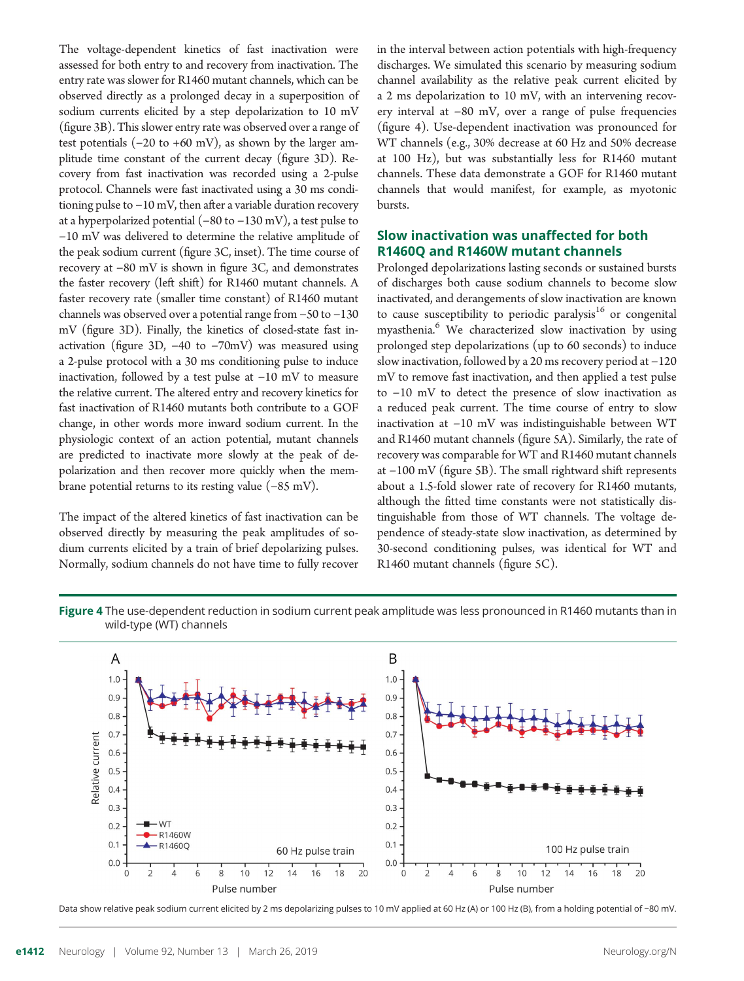The voltage-dependent kinetics of fast inactivation were assessed for both entry to and recovery from inactivation. The entry rate was slower for R1460 mutant channels, which can be observed directly as a prolonged decay in a superposition of sodium currents elicited by a step depolarization to 10 mV (figure 3B). This slower entry rate was observed over a range of test potentials  $(-20 \text{ to } +60 \text{ mV})$ , as shown by the larger amplitude time constant of the current decay (figure 3D). Recovery from fast inactivation was recorded using a 2-pulse protocol. Channels were fast inactivated using a 30 ms conditioning pulse to −10 mV, then after a variable duration recovery at a hyperpolarized potential (−80 to −130 mV), a test pulse to −10 mV was delivered to determine the relative amplitude of the peak sodium current (figure 3C, inset). The time course of recovery at −80 mV is shown in figure 3C, and demonstrates the faster recovery (left shift) for R1460 mutant channels. A faster recovery rate (smaller time constant) of R1460 mutant channels was observed over a potential range from −50 to −130 mV (figure 3D). Finally, the kinetics of closed-state fast inactivation (figure 3D, −40 to −70mV) was measured using a 2-pulse protocol with a 30 ms conditioning pulse to induce inactivation, followed by a test pulse at −10 mV to measure the relative current. The altered entry and recovery kinetics for fast inactivation of R1460 mutants both contribute to a GOF change, in other words more inward sodium current. In the physiologic context of an action potential, mutant channels are predicted to inactivate more slowly at the peak of depolarization and then recover more quickly when the membrane potential returns to its resting value (−85 mV).

The impact of the altered kinetics of fast inactivation can be observed directly by measuring the peak amplitudes of sodium currents elicited by a train of brief depolarizing pulses. Normally, sodium channels do not have time to fully recover in the interval between action potentials with high-frequency discharges. We simulated this scenario by measuring sodium channel availability as the relative peak current elicited by a 2 ms depolarization to 10 mV, with an intervening recovery interval at −80 mV, over a range of pulse frequencies (figure 4). Use-dependent inactivation was pronounced for WT channels (e.g., 30% decrease at 60 Hz and 50% decrease at 100 Hz), but was substantially less for R1460 mutant channels. These data demonstrate a GOF for R1460 mutant channels that would manifest, for example, as myotonic bursts.

#### Slow inactivation was unaffected for both R1460Q and R1460W mutant channels

Prolonged depolarizations lasting seconds or sustained bursts of discharges both cause sodium channels to become slow inactivated, and derangements of slow inactivation are known to cause susceptibility to periodic paralysis<sup>16</sup> or congenital myasthenia.<sup>6</sup> We characterized slow inactivation by using prolonged step depolarizations (up to 60 seconds) to induce slow inactivation, followed by a 20 ms recovery period at −120 mV to remove fast inactivation, and then applied a test pulse to −10 mV to detect the presence of slow inactivation as a reduced peak current. The time course of entry to slow inactivation at −10 mV was indistinguishable between WT and R1460 mutant channels (figure 5A). Similarly, the rate of recovery was comparable for WT and R1460 mutant channels at −100 mV (figure 5B). The small rightward shift represents about a 1.5-fold slower rate of recovery for R1460 mutants, although the fitted time constants were not statistically distinguishable from those of WT channels. The voltage dependence of steady-state slow inactivation, as determined by 30-second conditioning pulses, was identical for WT and R1460 mutant channels (figure 5C).





Data show relative peak sodium current elicited by 2 ms depolarizing pulses to 10 mV applied at 60 Hz (A) or 100 Hz (B), from a holding potential of −80 mV.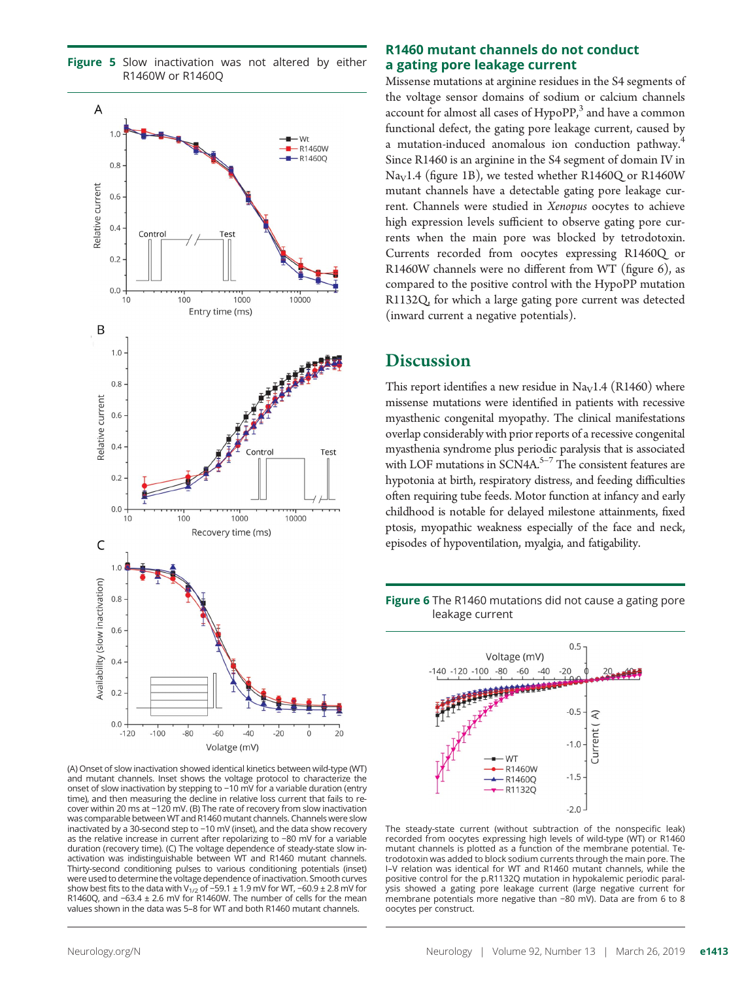

Figure 5 Slow inactivation was not altered by either

(A) Onset of slow inactivation showed identical kinetics between wild-type (WT) and mutant channels. Inset shows the voltage protocol to characterize the onset of slow inactivation by stepping to −10 mV for a variable duration (entry time), and then measuring the decline in relative loss current that fails to recover within 20 ms at −120 mV. (B) The rate of recovery from slow inactivation was comparable between WT and R1460 mutant channels. Channels were slow inactivated by a 30-second step to −10 mV (inset), and the data show recovery as the relative increase in current after repolarizing to −80 mV for a variable duration (recovery time). (C) The voltage dependence of steady-state slow inactivation was indistinguishable between WT and R1460 mutant channels. Thirty-second conditioning pulses to various conditioning potentials (inset) were used to determine the voltage dependence of inactivation. Smooth curves show best fits to the data with V<sub>1/2</sub> of −59.1 ± 1.9 mV for WT, −60.9 ± 2.8 mV for R1460Q, and −63.4 ± 2.6 mV for R1460W. The number of cells for the mean values shown in the data was 5–8 for WT and both R1460 mutant channels.

#### R1460 mutant channels do not conduct a gating pore leakage current

Missense mutations at arginine residues in the S4 segments of the voltage sensor domains of sodium or calcium channels account for almost all cases of  $HypoPP$ ,<sup>3</sup> and have a common functional defect, the gating pore leakage current, caused by a mutation-induced anomalous ion conduction pathway.<sup>4</sup> Since R1460 is an arginine in the S4 segment of domain IV in  $\text{Na}_{\text{V}}$ 1.4 (figure 1B), we tested whether R1460Q or R1460W mutant channels have a detectable gating pore leakage current. Channels were studied in Xenopus oocytes to achieve high expression levels sufficient to observe gating pore currents when the main pore was blocked by tetrodotoxin. Currents recorded from oocytes expressing R1460Q or R1460W channels were no different from WT (figure 6), as compared to the positive control with the HypoPP mutation R1132Q, for which a large gating pore current was detected (inward current a negative potentials).

### **Discussion**

This report identifies a new residue in Na<sub>V</sub>1.4 (R1460) where missense mutations were identified in patients with recessive myasthenic congenital myopathy. The clinical manifestations overlap considerably with prior reports of a recessive congenital myasthenia syndrome plus periodic paralysis that is associated with LOF mutations in  $SCN4A$ .<sup>5-7</sup> The consistent features are hypotonia at birth, respiratory distress, and feeding difficulties often requiring tube feeds. Motor function at infancy and early childhood is notable for delayed milestone attainments, fixed ptosis, myopathic weakness especially of the face and neck, episodes of hypoventilation, myalgia, and fatigability.





The steady-state current (without subtraction of the nonspecific leak) recorded from oocytes expressing high levels of wild-type (WT) or R1460 mutant channels is plotted as a function of the membrane potential. Tetrodotoxin was added to block sodium currents through the main pore. The I–V relation was identical for WT and R1460 mutant channels, while the positive control for the p.R1132Q mutation in hypokalemic periodic paralysis showed a gating pore leakage current (large negative current for membrane potentials more negative than −80 mV). Data are from 6 to 8 oocytes per construct.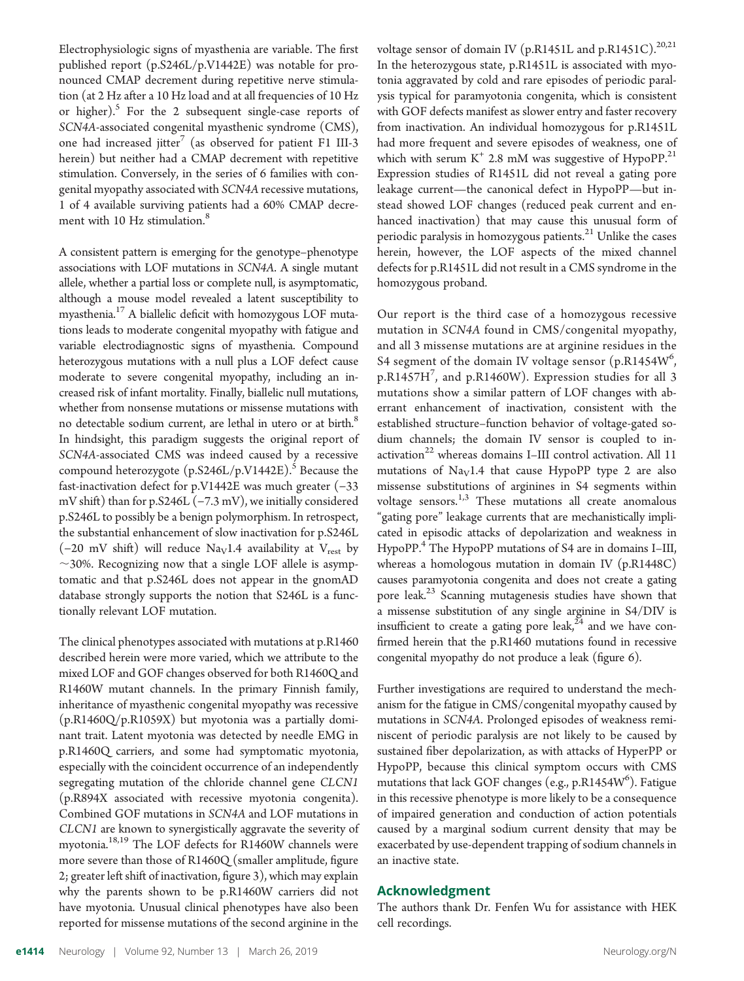Electrophysiologic signs of myasthenia are variable. The first published report (p.S246L/p.V1442E) was notable for pronounced CMAP decrement during repetitive nerve stimulation (at 2 Hz after a 10 Hz load and at all frequencies of 10 Hz or higher).<sup>5</sup> For the 2 subsequent single-case reports of SCN4A-associated congenital myasthenic syndrome (CMS), one had increased jitter<sup>7</sup> (as observed for patient F1 III-3 herein) but neither had a CMAP decrement with repetitive stimulation. Conversely, in the series of 6 families with congenital myopathy associated with SCN4A recessive mutations, 1 of 4 available surviving patients had a 60% CMAP decrement with 10 Hz stimulation.<sup>8</sup>

A consistent pattern is emerging for the genotype–phenotype associations with LOF mutations in SCN4A. A single mutant allele, whether a partial loss or complete null, is asymptomatic, although a mouse model revealed a latent susceptibility to myasthenia.<sup>17</sup> A biallelic deficit with homozygous LOF mutations leads to moderate congenital myopathy with fatigue and variable electrodiagnostic signs of myasthenia. Compound heterozygous mutations with a null plus a LOF defect cause moderate to severe congenital myopathy, including an increased risk of infant mortality. Finally, biallelic null mutations, whether from nonsense mutations or missense mutations with no detectable sodium current, are lethal in utero or at birth.<sup>8</sup> In hindsight, this paradigm suggests the original report of SCN4A-associated CMS was indeed caused by a recessive compound heterozygote  $(p.S246L/p.V1442E)$ .<sup>5</sup> Because the fast-inactivation defect for p.V1442E was much greater (−33 mV shift) than for p.S246L (−7.3 mV), we initially considered p.S246L to possibly be a benign polymorphism. In retrospect, the substantial enhancement of slow inactivation for p.S246L (-20 mV shift) will reduce Na<sub>V</sub>1.4 availability at V<sub>rest</sub> by  $\sim$ 30%. Recognizing now that a single LOF allele is asymptomatic and that p.S246L does not appear in the gnomAD database strongly supports the notion that S246L is a functionally relevant LOF mutation.

The clinical phenotypes associated with mutations at p.R1460 described herein were more varied, which we attribute to the mixed LOF and GOF changes observed for both R1460Q and R1460W mutant channels. In the primary Finnish family, inheritance of myasthenic congenital myopathy was recessive (p.R1460Q/p.R1059X) but myotonia was a partially dominant trait. Latent myotonia was detected by needle EMG in p.R1460Q carriers, and some had symptomatic myotonia, especially with the coincident occurrence of an independently segregating mutation of the chloride channel gene CLCN1 (p.R894X associated with recessive myotonia congenita). Combined GOF mutations in SCN4A and LOF mutations in CLCN1 are known to synergistically aggravate the severity of myotonia.<sup>18,19</sup> The LOF defects for R1460W channels were more severe than those of R1460Q (smaller amplitude, figure 2; greater left shift of inactivation, figure 3), which may explain why the parents shown to be p.R1460W carriers did not have myotonia. Unusual clinical phenotypes have also been reported for missense mutations of the second arginine in the

voltage sensor of domain IV (p.R1451L and p.R1451C).<sup>20,21</sup> In the heterozygous state, p.R1451L is associated with myotonia aggravated by cold and rare episodes of periodic paralysis typical for paramyotonia congenita, which is consistent with GOF defects manifest as slower entry and faster recovery from inactivation. An individual homozygous for p.R1451L had more frequent and severe episodes of weakness, one of which with serum  $K^+$  2.8 mM was suggestive of HypoPP.<sup>21</sup> Expression studies of R1451L did not reveal a gating pore leakage current—the canonical defect in HypoPP—but instead showed LOF changes (reduced peak current and enhanced inactivation) that may cause this unusual form of periodic paralysis in homozygous patients.<sup>21</sup> Unlike the cases herein, however, the LOF aspects of the mixed channel defects for p.R1451L did not result in a CMS syndrome in the homozygous proband.

Our report is the third case of a homozygous recessive mutation in SCN4A found in CMS/congenital myopathy, and all 3 missense mutations are at arginine residues in the S4 segment of the domain IV voltage sensor  $(p.R1454W<sup>6</sup>)$ , p.R1457H<sup>7</sup> , and p.R1460W). Expression studies for all 3 mutations show a similar pattern of LOF changes with aberrant enhancement of inactivation, consistent with the established structure–function behavior of voltage-gated sodium channels; the domain IV sensor is coupled to inactivation<sup>22</sup> whereas domains I–III control activation. All 11 mutations of  $Nay1.4$  that cause HypoPP type 2 are also missense substitutions of arginines in S4 segments within voltage sensors. $1,3$  These mutations all create anomalous "gating pore" leakage currents that are mechanistically implicated in episodic attacks of depolarization and weakness in HypoPP.<sup>4</sup> The HypoPP mutations of S4 are in domains I–III, whereas a homologous mutation in domain IV (p.R1448C) causes paramyotonia congenita and does not create a gating pore leak.23 Scanning mutagenesis studies have shown that a missense substitution of any single arginine in S4/DIV is insufficient to create a gating pore leak, $24$  and we have confirmed herein that the p.R1460 mutations found in recessive congenital myopathy do not produce a leak (figure 6).

Further investigations are required to understand the mechanism for the fatigue in CMS/congenital myopathy caused by mutations in SCN4A. Prolonged episodes of weakness reminiscent of periodic paralysis are not likely to be caused by sustained fiber depolarization, as with attacks of HyperPP or HypoPP, because this clinical symptom occurs with CMS mutations that lack GOF changes (e.g., p.R1454W<sup>6</sup>). Fatigue in this recessive phenotype is more likely to be a consequence of impaired generation and conduction of action potentials caused by a marginal sodium current density that may be exacerbated by use-dependent trapping of sodium channels in an inactive state.

#### Acknowledgment

The authors thank Dr. Fenfen Wu for assistance with HEK cell recordings.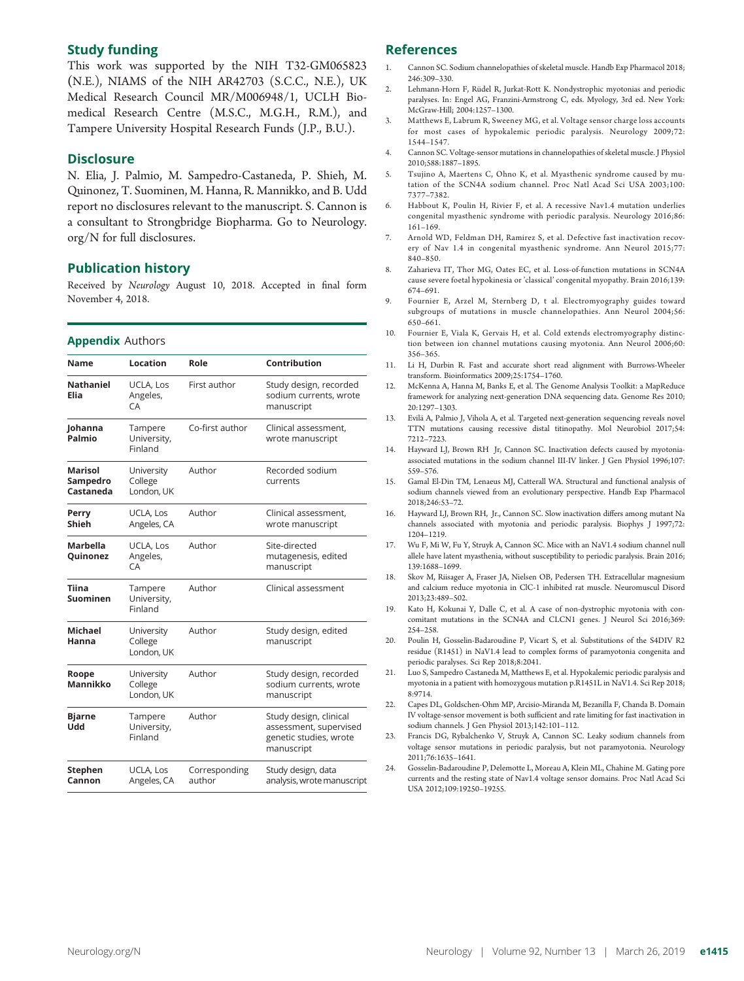#### Study funding

This work was supported by the NIH T32-GM065823 (N.E.), NIAMS of the NIH AR42703 (S.C.C., N.E.), UK Medical Research Council MR/M006948/1, UCLH Biomedical Research Centre (M.S.C., M.G.H., R.M.), and Tampere University Hospital Research Funds (J.P., B.U.).

#### **Disclosure**

N. Elia, J. Palmio, M. Sampedro-Castaneda, P. Shieh, M. Quinonez, T. Suominen, M. Hanna, R. Mannikko, and B. Udd report no disclosures relevant to the manuscript. S. Cannon is a consultant to Strongbridge Biopharma. Go to [Neurology.](http://n.neurology.org/lookup/doi/10.1212/WNL.0000000000007185) [org/N](http://n.neurology.org/lookup/doi/10.1212/WNL.0000000000007185) for full disclosures.

#### Publication history

Received by Neurology August 10, 2018. Accepted in final form November 4, 2018.

#### Appendix Authors

| Name                             | Location                            | Role                    | Contribution                                                                             |  |
|----------------------------------|-------------------------------------|-------------------------|------------------------------------------------------------------------------------------|--|
| <b>Nathaniel</b><br>Elia         | UCLA, Los<br>Angeles,<br><b>CA</b>  | First author            | Study design, recorded<br>sodium currents, wrote<br>manuscript                           |  |
| Johanna<br>Palmio                | Tampere<br>University,<br>Finland   | Co-first author         | Clinical assessment,<br>wrote manuscript                                                 |  |
| Marisol<br>Sampedro<br>Castaneda | University<br>College<br>London, UK | Author                  | Recorded sodium<br>currents                                                              |  |
| Perry<br>Shieh                   | UCLA, Los<br>Angeles, CA            | Author                  | Clinical assessment,<br>wrote manuscript                                                 |  |
| <b>Marbella</b><br>Quinonez      | UCLA, Los<br>Angeles,<br>CA         | Author                  | Site-directed<br>mutagenesis, edited<br>manuscript                                       |  |
| Tiina<br>Suominen                | Tampere<br>University,<br>Finland   | Author                  | Clinical assessment                                                                      |  |
| <b>Michael</b><br>Hanna          | University<br>College<br>London, UK | Author                  | Study design, edited<br>manuscript                                                       |  |
| Roope<br>Mannikko                | University<br>College<br>London, UK | Author                  | Study design, recorded<br>sodium currents, wrote<br>manuscript                           |  |
| <b>Bjarne</b><br>bbU             | Tampere<br>University,<br>Finland   | Author                  | Study design, clinical<br>assessment, supervised<br>genetic studies, wrote<br>manuscript |  |
| Stephen<br>Cannon                | UCLA, Los<br>Angeles, CA            | Corresponding<br>author | Study design, data<br>analysis, wrote manuscript                                         |  |

#### References

- 1. Cannon SC. Sodium channelopathies of skeletal muscle. Handb Exp Pharmacol 2018; 246:309–330.
- 2. Lehmann-Horn F, Rüdel R, Jurkat-Rott K. Nondystrophic myotonias and periodic paralyses. In: Engel AG, Franzini-Armstrong C, eds. Myology, 3rd ed. New York: McGraw-Hill; 2004:1257–1300.
- 3. Matthews E, Labrum R, Sweeney MG, et al. Voltage sensor charge loss accounts for most cases of hypokalemic periodic paralysis. Neurology 2009;72: 1544–1547.
- 4. Cannon SC. Voltage-sensor mutations in channelopathies of skeletal muscle. J Physiol 2010;588:1887–1895.
- 5. Tsujino A, Maertens C, Ohno K, et al. Myasthenic syndrome caused by mutation of the SCN4A sodium channel. Proc Natl Acad Sci USA 2003;100: 7377–7382.
- 6. Habbout K, Poulin H, Rivier F, et al. A recessive Nav1.4 mutation underlies congenital myasthenic syndrome with periodic paralysis. Neurology 2016;86: 161–169.
- 7. Arnold WD, Feldman DH, Ramirez S, et al. Defective fast inactivation recovery of Nav 1.4 in congenital myasthenic syndrome. Ann Neurol 2015;77: 840–850.
- 8. Zaharieva IT, Thor MG, Oates EC, et al. Loss-of-function mutations in SCN4A cause severe foetal hypokinesia or 'classical' congenital myopathy. Brain 2016;139: 674–691.
- 9. Fournier E, Arzel M, Sternberg D, t al. Electromyography guides toward subgroups of mutations in muscle channelopathies. Ann Neurol 2004;56: 650–661.
- 10. Fournier E, Viala K, Gervais H, et al. Cold extends electromyography distinction between ion channel mutations causing myotonia. Ann Neurol 2006;60: 356–365.
- 11. Li H, Durbin R. Fast and accurate short read alignment with Burrows-Wheeler transform. Bioinformatics 2009;25:1754–1760.
- 12. McKenna A, Hanna M, Banks E, et al. The Genome Analysis Toolkit: a MapReduce framework for analyzing next-generation DNA sequencing data. Genome Res 2010; 20:1297–1303.
- 13. Evilä A, Palmio J, Vihola A, et al. Targeted next-generation sequencing reveals novel TTN mutations causing recessive distal titinopathy. Mol Neurobiol 2017;54: 7212–7223.
- 14. Hayward LJ, Brown RH Jr, Cannon SC. Inactivation defects caused by myotoniaassociated mutations in the sodium channel III-IV linker. J Gen Physiol 1996;107: 559–576.
- 15. Gamal El-Din TM, Lenaeus MJ, Catterall WA. Structural and functional analysis of sodium channels viewed from an evolutionary perspective. Handb Exp Pharmacol 2018;246:53–72.
- 16. Hayward LJ, Brown RH, Jr., Cannon SC. Slow inactivation differs among mutant Na channels associated with myotonia and periodic paralysis. Biophys J 1997;72: 1204–1219.
- 17. Wu F, Mi W, Fu Y, Struyk A, Cannon SC. Mice with an NaV1.4 sodium channel null allele have latent myasthenia, without susceptibility to periodic paralysis. Brain 2016; 139:1688–1699.
- 18. Skov M, Riisager A, Fraser JA, Nielsen OB, Pedersen TH. Extracellular magnesium and calcium reduce myotonia in ClC-1 inhibited rat muscle. Neuromuscul Disord 2013;23:489–502.
- 19. Kato H, Kokunai Y, Dalle C, et al. A case of non-dystrophic myotonia with concomitant mutations in the SCN4A and CLCN1 genes. J Neurol Sci 2016;369: 254–258.
- 20. Poulin H, Gosselin-Badaroudine P, Vicart S, et al. Substitutions of the S4DIV R2 residue (R1451) in NaV1.4 lead to complex forms of paramyotonia congenita and periodic paralyses. Sci Rep 2018;8:2041.
- 21. Luo S, Sampedro Castaneda M, Matthews E, et al. Hypokalemic periodic paralysis and myotonia in a patient with homozygous mutation p.R1451L in NaV1.4. Sci Rep 2018; 8:9714.
- 22. Capes DL, Goldschen-Ohm MP, Arcisio-Miranda M, Bezanilla F, Chanda B. Domain IV voltage-sensor movement is both sufficient and rate limiting for fast inactivation in sodium channels. J Gen Physiol 2013;142:101–112.
- 23. Francis DG, Rybalchenko V, Struyk A, Cannon SC. Leaky sodium channels from voltage sensor mutations in periodic paralysis, but not paramyotonia. Neurology 2011;76:1635–1641.
- 24. Gosselin-Badaroudine P, Delemotte L, Moreau A, Klein ML, Chahine M. Gating pore currents and the resting state of Nav1.4 voltage sensor domains. Proc Natl Acad Sci USA 2012;109:19250–19255.